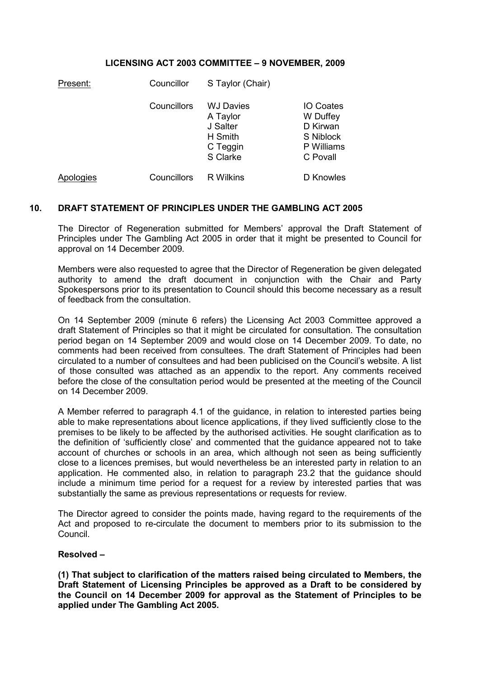## LICENSING ACT 2003 COMMITTEE – 9 NOVEMBER, 2009

| Present:  | Councillor  | S Taylor (Chair)                                                            |                                                                                 |
|-----------|-------------|-----------------------------------------------------------------------------|---------------------------------------------------------------------------------|
|           | Councillors | <b>WJ Davies</b><br>A Taylor<br>J Salter<br>H Smith<br>C Teggin<br>S Clarke | <b>IO Coates</b><br>W Duffey<br>D Kirwan<br>S Niblock<br>P Williams<br>C Povall |
| Apologies | Councillors | R Wilkins                                                                   | D Knowles                                                                       |

## 10. DRAFT STATEMENT OF PRINCIPLES UNDER THE GAMBLING ACT 2005

The Director of Regeneration submitted for Members' approval the Draft Statement of Principles under The Gambling Act 2005 in order that it might be presented to Council for approval on 14 December 2009.

Members were also requested to agree that the Director of Regeneration be given delegated authority to amend the draft document in conjunction with the Chair and Party Spokespersons prior to its presentation to Council should this become necessary as a result of feedback from the consultation.

On 14 September 2009 (minute 6 refers) the Licensing Act 2003 Committee approved a draft Statement of Principles so that it might be circulated for consultation. The consultation period began on 14 September 2009 and would close on 14 December 2009. To date, no comments had been received from consultees. The draft Statement of Principles had been circulated to a number of consultees and had been publicised on the Council's website. A list of those consulted was attached as an appendix to the report. Any comments received before the close of the consultation period would be presented at the meeting of the Council on 14 December 2009.

A Member referred to paragraph 4.1 of the guidance, in relation to interested parties being able to make representations about licence applications, if they lived sufficiently close to the premises to be likely to be affected by the authorised activities. He sought clarification as to the definition of 'sufficiently close' and commented that the guidance appeared not to take account of churches or schools in an area, which although not seen as being sufficiently close to a licences premises, but would nevertheless be an interested party in relation to an application. He commented also, in relation to paragraph 23.2 that the guidance should include a minimum time period for a request for a review by interested parties that was substantially the same as previous representations or requests for review.

The Director agreed to consider the points made, having regard to the requirements of the Act and proposed to re-circulate the document to members prior to its submission to the Council.

## Resolved –

(1) That subject to clarification of the matters raised being circulated to Members, the Draft Statement of Licensing Principles be approved as a Draft to be considered by the Council on 14 December 2009 for approval as the Statement of Principles to be applied under The Gambling Act 2005.